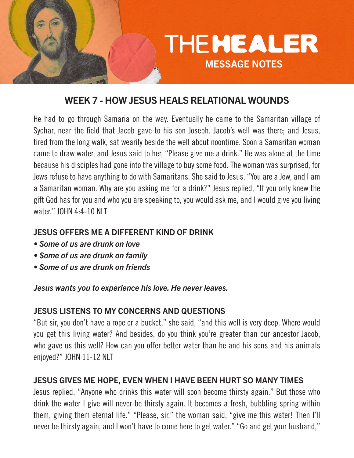

# WEEK 7 - HOW JESUS HEALS RELATIONAL WOUNDS

He had to go through Samaria on the way. Eventually he came to the Samaritan village of Sychar, near the field that Jacob gave to his son Joseph. Jacob's well was there; and Jesus, tired from the long walk, sat wearily beside the well about noontime. Soon a Samaritan woman came to draw water, and Jesus said to her, "Please give me a drink." He was alone at the time because his disciples had gone into the village to buy some food. The woman was surprised, for Jews refuse to have anything to do with Samaritans. She said to Jesus, "You are a Jew, and I am a Samaritan woman. Why are you asking me for a drink?" Jesus replied, "If you only knew the gift God has for you and who you are speaking to, you would ask me, and I would give you living water." JOHN 4:4-10 NLT

#### JESUS OFFERS ME A DIFFERENT KIND OF DRINK

- *Some of us are drunk on love*
- *Some of us are drunk on family*
- *Some of us are drunk on friends*

*Jesus wants you to experience his love. He never leaves.*

#### JESUS LISTENS TO MY CONCERNS AND QUESTIONS

"But sir, you don't have a rope or a bucket," she said, "and this well is very deep. Where would you get this living water? And besides, do you think you're greater than our ancestor Jacob, who gave us this well? How can you offer better water than he and his sons and his animals enjoyed?" JOHN 11-12 NLT

#### JESUS GIVES ME HOPE, EVEN WHEN I HAVE BEEN HURT SO MANY TIMES

Jesus replied, "Anyone who drinks this water will soon become thirsty again." But those who drink the water I give will never be thirsty again. It becomes a fresh, bubbling spring within them, giving them eternal life." "Please, sir," the woman said, "give me this water! Then I'll never be thirsty again, and I won't have to come here to get water." "Go and get your husband,"